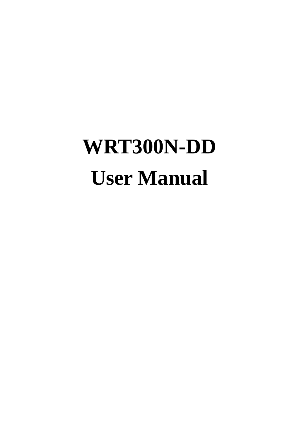# **WRT300N-DD User Manual**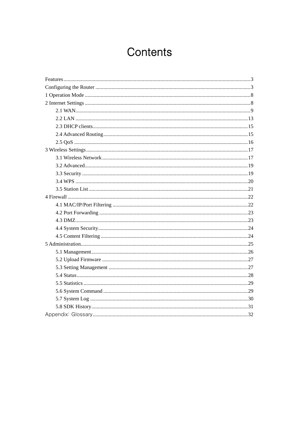# Contents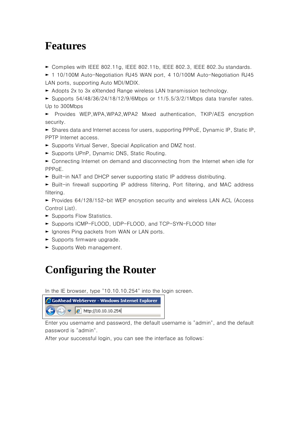## **Features**

► Complies with IEEE 802.11g, IEEE 802.11b, IEEE 802.3, IEEE 802.3u standards.

► 1 10/100M Auto-Negotiation RJ45 WAN port, 4 10/100M Auto-Negotiation RJ45 LAN ports, supporting Auto MDI/MDIX.

► Adopts 2x to 3x eXtended Range wireless LAN transmission technology.

► Supports  $54/48/36/24/18/12/9/6Mbps$  or  $11/5.5/3/2/1Mbps$  data transfer rates. Up to 300Mbps

► Provides WEP,WPA,WPA2,WPA2 Mixed authentication, TKIP/AES encryption security.

► Shares data and Internet access for users, supporting PPPoE, Dynamic IP, Static IP, PPTP Internet access.

- ► Supports Virtual Server, Special Application and DMZ host.
- ► Supports UPnP, Dynamic DNS, Static Routing.
- ► Connecting Internet on demand and disconnecting from the Internet when idle for PPPoE.
- ► Built-in NAT and DHCP server supporting static IP address distributing.
- ► Built-in firewall supporting IP address filtering, Port filtering, and MAC address filtering.

► Provides 64/128/152-bit WEP encryption security and wireless LAN ACL (Access Control List).

- ► Supports Flow Statistics.
- ► Supports ICMP-FLOOD, UDP-FLOOD, and TCP-SYN-FLOOD filter
- ► Ignores Ping packets from WAN or LAN ports.
- ► Supports firmware upgrade.
- ► Supports Web management.

## **Configuring the Router**

In the IE browser, type "10.10.10.254" into the login screen.

| GoAhead WebServer - Windows Internet Explorer |                                                                             |  |
|-----------------------------------------------|-----------------------------------------------------------------------------|--|
|                                               | $\langle \bigodot \bigodot \bigtriangledown$ $\bigodot$ http://10.10.10.254 |  |

Enter you username and password, the default username is "admin", and the default password is "admin".

After your successful login, you can see the interface as follows: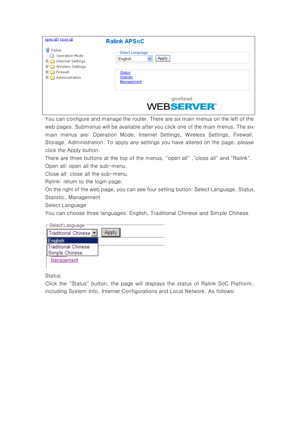| open all close all                                                           | <b>Ralink APSoC</b>                             |
|------------------------------------------------------------------------------|-------------------------------------------------|
| Ralink<br>Operation Mode<br>Internet Settings<br>田<br>田<br>Wireless Settings | Select Language<br><b>Apply</b><br>English<br>× |
| $\overline{+}$<br>Firewall<br>Administration<br>国社                           | <b>Status</b><br>Statistic<br>Management        |
|                                                                              | goahead<br><b>WEBSERVER®</b>                    |

You can configure and manage the router. There are six main menus on the left of the web pages. Submenus will be available after you click one of the main menus. The six main menus are: Operation Mode, Internet Settings, Wireless Settings, Firewall, Storage, Administration. To apply any settings you have altered on the page, please click the Apply button.

There are three buttons at the top of the menus, "open all", "close all" and "Ralink". Open all: open all the sub-menu.

Close all: close all the sub-menu.

Ralink: return to the login page.

On the right of the web page, you can see four setting button: Select Language, Status, Statistic, Management

Select Language

You can choose three languages: English, Traditional Chinese and Simple Chinese.

| -Select Language                                  |       |
|---------------------------------------------------|-------|
| Traditional Chinese                               | Apply |
| English<br>∥Traditional Chinese<br>Simple Chinese |       |
| Management                                        |       |

**Status** 

Click the "Status" button, the page will displays the status of Ralink SoC Platform, including System Info, Internet Configurations and Local Network. As follows: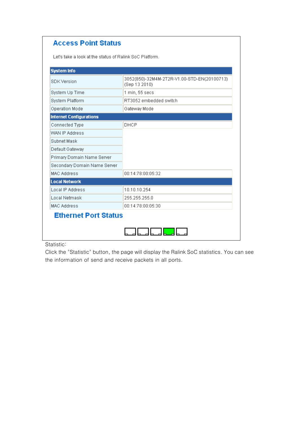#### **Access Point Status**

Let's take a look at the status of Ralink SoC Platform.

| <b>SDK Version</b>             | 3052(850)-32M4M-2T2R-V1.00-STD-EN(20100713)<br>(Sep 13 2010) |  |
|--------------------------------|--------------------------------------------------------------|--|
| System Up Time                 | 1 min, 55 secs                                               |  |
| System Platform                | RT3052 embedded switch                                       |  |
| Operation Mode                 | Gateway Mode                                                 |  |
| <b>Internet Configurations</b> |                                                              |  |
| Connected Type                 | DHCP                                                         |  |
| WAN IP Address                 |                                                              |  |
| Subnet Mask                    |                                                              |  |
| Default Gateway                |                                                              |  |
| Primary Domain Name Server     |                                                              |  |
| Secondary Domain Name Server   |                                                              |  |
| <b>MAC Address</b>             | 00:14:78:00:05:32                                            |  |
| <b>Local Network</b>           |                                                              |  |
| Local IP Address               | 10.10.10.254                                                 |  |
| Local Netmask                  | 255.255.255.0                                                |  |
| <b>MAC Address</b>             | 00:14:78:00:05:30                                            |  |
| <b>Ethernet Port Status</b>    |                                                              |  |
|                                |                                                              |  |

Statistic:

Click the "Statistic" button, the page will display the Ralink SoC statistics. You can see the information of send and receive packets in all ports.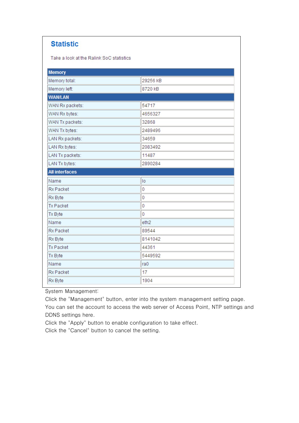#### **Statistic**

Take a look at the Ralink SoC statistics

| <b>Memory</b>         |                  |  |  |
|-----------------------|------------------|--|--|
| Memory total:         | 29256 kB         |  |  |
| Memory left:          | 8720 kB          |  |  |
| <b>WAN/LAN</b>        |                  |  |  |
| WAN Rx packets:       | 54717            |  |  |
| WAN Rx bytes:         | 4656327          |  |  |
| WAN Tx packets:       | 32868            |  |  |
| WAN Tx bytes:         | 2489496          |  |  |
| LAN Rx packets:       | 34659            |  |  |
| LAN Rx bytes:         | 2083492          |  |  |
| LAN Tx packets:       | 11487            |  |  |
| LAN Tx bytes:         | 2890284          |  |  |
| <b>All interfaces</b> |                  |  |  |
|                       |                  |  |  |
| Name                  | lo               |  |  |
| <b>Rx Packet</b>      | 0                |  |  |
| Rx Byte               | 0                |  |  |
| <b>Tx Packet</b>      | 0                |  |  |
| Tx Byte               | 0                |  |  |
| Name                  | eth <sub>2</sub> |  |  |
| <b>Rx Packet</b>      | 89544            |  |  |
| Rx Byte               | 8141042          |  |  |
| <b>Tx Packet</b>      | 44361            |  |  |
| Tx Byte               | 5449592          |  |  |
| Name                  | ra0              |  |  |
| <b>Rx Packet</b>      | 17               |  |  |

System Management:

Click the "Management" button, enter into the system management setting page.

You can set the account to access the web server of Access Point, NTP settings and DDNS settings here.

Click the "Apply" button to enable configuration to take effect.

Click the "Cancel" button to cancel the setting.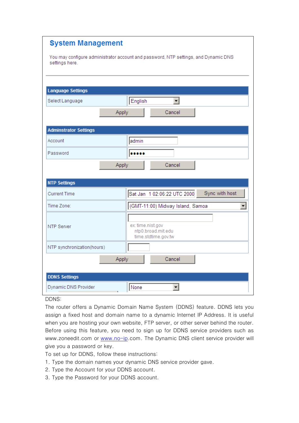| <b>System Management</b>                                                                              |                                                                |  |
|-------------------------------------------------------------------------------------------------------|----------------------------------------------------------------|--|
| You may configure administrator account and password, NTP settings, and Dynamic DNS<br>settings here. |                                                                |  |
|                                                                                                       |                                                                |  |
| <b>Language Settings</b>                                                                              |                                                                |  |
| Select Language                                                                                       | English<br>▾╎                                                  |  |
| Apply                                                                                                 | Cancel                                                         |  |
| <b>Adminstrator Settings</b>                                                                          |                                                                |  |
| Account                                                                                               | admin                                                          |  |
| Password                                                                                              |                                                                |  |
| Apply                                                                                                 | Cancel                                                         |  |
|                                                                                                       |                                                                |  |
| <b>NTP Settings</b>                                                                                   |                                                                |  |
| <b>Current Time</b>                                                                                   | Sync with host<br>Sat Jan 1 02:06:22 UTC 2000                  |  |
| Time Zone:                                                                                            | (GMT-11:00) Midway Island, Samoa<br>▾╎                         |  |
| <b>NTP Server</b>                                                                                     | ex: time.nist.gov<br>ntp0.broad.mit.edu<br>time.stdtime.gov.tw |  |
| NTP synchronization(hours)                                                                            |                                                                |  |
| Apply                                                                                                 | Cancel                                                         |  |
| <b>DDNS Settings</b>                                                                                  |                                                                |  |
| Dynamic DNS Provider                                                                                  | ┳<br>None                                                      |  |

DDNS:

The router offers a Dynamic Domain Name System (DDNS) feature. DDNS lets you assign a fixed host and domain name to a dynamic Internet IP Address. It is useful when you are hosting your own website, FTP server, or other server behind the router. Before using this feature, you need to sign up for DDNS service providers such as www.zoneedit.com or www.no-ip.com. The Dynamic DNS client service provider will give you a password or key.

To set up for DDNS, follow these instructions:

- 1. Type the domain names your dynamic DNS service provider gave.
- 2. Type the Account for your DDNS account.
- 3. Type the Password for your DDNS account.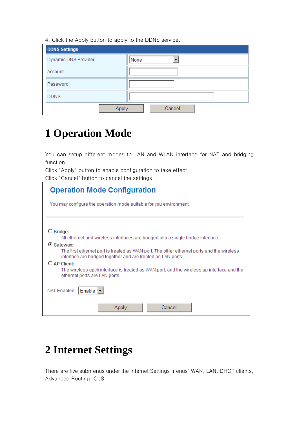4. Click the Apply button to apply to the DDNS service.

| <b>DDNS Settings</b> |        |  |
|----------------------|--------|--|
| Dynamic DNS Provider | None   |  |
| Account              |        |  |
| Password             |        |  |
| <b>DDNS</b>          |        |  |
|                      | Cancel |  |

## **1 Operation Mode**

You can setup different modes to LAN and WLAN interface for NAT and bridging function.

Click "Apply" button to enable configuration to take effect.

Click "Cancel" button to cancel the settings.

| <b>Operation Mode Configuration</b>                                                                                                                       |  |  |
|-----------------------------------------------------------------------------------------------------------------------------------------------------------|--|--|
| You may configure the operation mode suitable for you environment.                                                                                        |  |  |
|                                                                                                                                                           |  |  |
| $\circ$ Bridge:                                                                                                                                           |  |  |
| All ethernet and wireless interfaces are bridged into a single bridge interface.                                                                          |  |  |
| C Gateway:                                                                                                                                                |  |  |
| The first ethernet port is treated as WAN port. The other ethernet ports and the wireless<br>interface are bridged together and are treated as LAN ports. |  |  |
| C AP Client:                                                                                                                                              |  |  |
| The wireless apcli interface is treated as WAN port, and the wireless ap interface and the<br>ethernet ports are LAN ports.                               |  |  |
| NAT Enabled<br>Enable                                                                                                                                     |  |  |
| Cancel<br>Applv                                                                                                                                           |  |  |

## **2 Internet Settings**

There are five submenus under the Internet Settings menus: WAN, LAN, DHCP clients, Advanced Routing, QoS.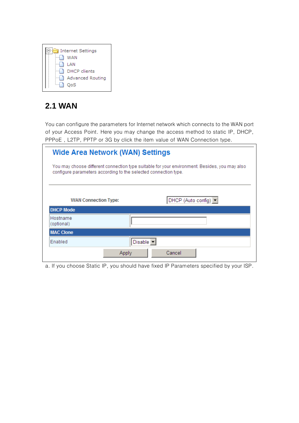

#### **2.1 WAN**

You can configure the parameters for Internet network which connects to the WAN port of your Access Point. Here you may change the access method to static IP, DHCP, PPPoE , L2TP, PPTP or 3G by click the item value of WAN Connection type.

| <b>Wide Area Network (WAN) Settings</b>         |                                                                 |                                                                                               |
|-------------------------------------------------|-----------------------------------------------------------------|-----------------------------------------------------------------------------------------------|
|                                                 | configure parameters according to the selected connection type. | You may choose different connection type suitable for your environment. Besides, you may also |
| <b>WAN Connection Type:</b><br><b>DHCP Mode</b> |                                                                 | DHCP (Auto config) $\blacktriangledown$                                                       |
| Hostname<br>(optional)                          |                                                                 |                                                                                               |
| <b>MAC Clone</b>                                |                                                                 |                                                                                               |
| Enabled                                         | Disable -                                                       |                                                                                               |
|                                                 | Apply                                                           | Cancel                                                                                        |

a. If you choose Static IP, you should have fixed IP Parameters specified by your ISP.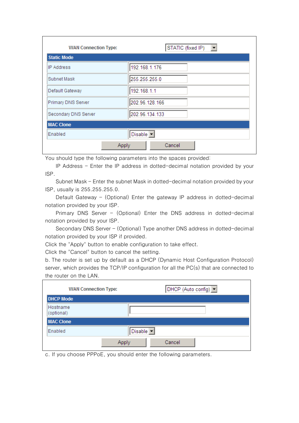| <b>WAN Connection Type:</b> | STATIC (fixed IP)<br>$\blacktriangledown$ |
|-----------------------------|-------------------------------------------|
| <b>Static Mode</b>          |                                           |
| <b>IP Address</b>           | 192.168.1.176                             |
| Subnet Mask                 | 255.255.255.0                             |
| Default Gateway             | 192.168.1.1                               |
| Primary DNS Server          | 202.96.128.166                            |
| Secondary DNS Server        | 202.96.134.133                            |
| <b>MAC Clone</b>            |                                           |
| Enabled                     | Disable -                                 |
|                             | Cancel<br>Apply                           |

You should type the following parameters into the spaces provided:

IP Address - Enter the IP address in dotted-decimal notation provided by your ISP.

Subnet Mask - Enter the subnet Mask in dotted-decimal notation provided by your ISP, usually is 255.255.255.0.

Default Gateway - (Optional) Enter the gateway IP address in dotted-decimal notation provided by your ISP.

Primary DNS Server - (Optional) Enter the DNS address in dotted-decimal notation provided by your ISP.

Secondary DNS Server - (Optional) Type another DNS address in dotted-decimal notation provided by your ISP if provided.

Click the "Apply" button to enable configuration to take effect.

Click the "Cancel" button to cancel the setting.

b. The router is set up by default as a DHCP (Dynamic Host Configuration Protocol) server, which provides the TCP/IP configuration for all the PC(s) that are connected to the router on the LAN.

|                        | <b>WAN Connection Type:</b> | DHCP (Auto config) |
|------------------------|-----------------------------|--------------------|
| <b>DHCP Mode</b>       |                             |                    |
| Hostname<br>(optional) |                             |                    |
| <b>MAC Clone</b>       |                             |                    |
| Enabled                | Disable -                   |                    |
|                        | Apply                       | Cancel             |

c. If you choose PPPoE, you should enter the following parameters.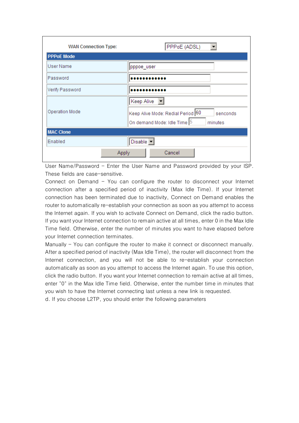| <b>WAN Connection Type:</b> | PPPoE (ADSL)                                  |
|-----------------------------|-----------------------------------------------|
| <b>PPPoE Mode</b>           |                                               |
| User Name                   | pppoe_user                                    |
| Password                    |                                               |
| Verify Password             |                                               |
|                             | $\mathbf{r}$<br>Keep Alive                    |
| Operation Mode              | Keep Alive Mode: Redial Period 60<br>senconds |
|                             | On demand Mode: Idle Time 5<br>minutes        |
| <b>MAC Clone</b>            |                                               |
| Enabled                     | Disable -                                     |
| Apply                       | Cancel                                        |

User Name/Password - Enter the User Name and Password provided by your ISP. These fields are case-sensitive.

Connect on Demand - You can configure the router to disconnect your Internet connection after a specified period of inactivity (Max Idle Time). If your Internet connection has been terminated due to inactivity, Connect on Demand enables the router to automatically re-establish your connection as soon as you attempt to access the Internet again. If you wish to activate Connect on Demand, click the radio button. If you want your Internet connection to remain active at all times, enter 0 in the Max Idle Time field. Otherwise, enter the number of minutes you want to have elapsed before your Internet connection terminates.

Manually - You can configure the router to make it connect or disconnect manually. After a specified period of inactivity (Max Idle Time), the router will disconnect from the Internet connection, and you will not be able to re-establish your connection automatically as soon as you attempt to access the Internet again. To use this option, click the radio button. If you want your Internet connection to remain active at all times, enter "0" in the Max Idle Time field. Otherwise, enter the number time in minutes that you wish to have the Internet connecting last unless a new link is requested. d. If you choose L2TP, you should enter the following parameters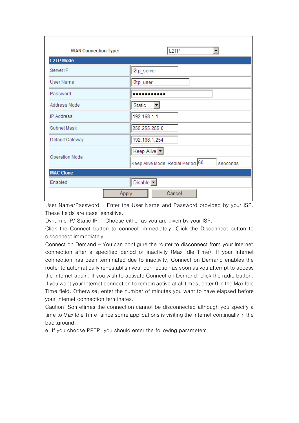| <b>WAN Connection Type:</b> | L <sub>2</sub> TP                             |
|-----------------------------|-----------------------------------------------|
| <b>L2TP Mode</b>            |                                               |
| Server IP                   | I2tp_server                                   |
| <b>User Name</b>            | l2tp_user                                     |
| Password                    |                                               |
| Address Mode                | $\overline{\phantom{0}}$<br>Static            |
| <b>IP Address</b>           | 192.168.1.1                                   |
| Subnet Mask                 | 255.255.255.0                                 |
| Default Gateway             | 192.168.1.254                                 |
|                             | Keep Alive v                                  |
| Operation Mode              | Keep Alive Mode: Redial Period 60<br>senconds |
| <b>MAC Clone</b>            |                                               |
| Enabled                     | Disable v                                     |
| Apply                       | Cancel                                        |

User Name/Password - Enter the User Name and Password provided by your ISP. These fields are case-sensitive.

Dynamic IP/ Static IP " Choose either as you are given by your ISP.

Click the Connect button to connect immediately. Click the Disconnect button to disconnect immediately.

Connect on Demand - You can configure the router to disconnect from your Internet connection after a specified period of inactivity (Max Idle Time). If your Internet connection has been terminated due to inactivity, Connect on Demand enables the router to automatically re-establish your connection as soon as you attempt to access the Internet again. If you wish to activate Connect on Demand, click the radio button. If you want your Internet connection to remain active at all times, enter 0 in the Max Idle Time field. Otherwise, enter the number of minutes you want to have elapsed before your Internet connection terminates.

Caution: Sometimes the connection cannot be disconnected although you specify a time to Max Idle Time, since some applications is visiting the Internet continually in the background.

e. If you choose PPTP, you should enter the following parameters.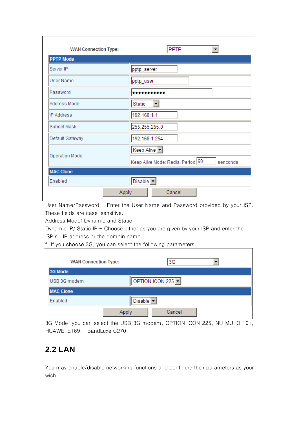| <b>WAN Connection Type:</b> | PPTP<br>▼                                     |
|-----------------------------|-----------------------------------------------|
| <b>PPTP Mode</b>            |                                               |
| Server IP                   | pptp_server                                   |
| <b>User Name</b>            | pptp_user                                     |
| Password                    |                                               |
| Address Mode                | $\overline{\phantom{a}}$<br>Static            |
| <b>IP Address</b>           | 192.168.1.1                                   |
| Subnet Mask                 | 255.255.255.0                                 |
| Default Gateway             | 192.168.1.254                                 |
|                             | Keep Alive                                    |
| Operation Mode              | Keep Alive Mode: Redial Period 60<br>senconds |
| <b>MAC Clone</b>            |                                               |
| Enabled                     | Disable <b>-</b>                              |
| Apply                       | Cancel                                        |

User Name/Password - Enter the User Name and Password provided by your ISP. These fields are case-sensitive.

Address Mode: Dynamic and Static.

Dynamic IP/ Static IP - Choose either as you are given by your ISP and enter the ISP's IP address or the domain name.

f. If you choose 3G, you can select the following parameters.

| <b>WAN Connection Type:</b> |                              | 3G                                    |  |
|-----------------------------|------------------------------|---------------------------------------|--|
| 3G Mode                     |                              |                                       |  |
| USB 3G modem                |                              | OPTION ICON 225 $\blacktriangleright$ |  |
| <b>MAC Clone</b>            |                              |                                       |  |
| Enabled                     | Disable $\blacktriangledown$ |                                       |  |
|                             | Apply                        | Cancel                                |  |

٦

3G Mode: you can select the USB 3G modem, OPTION ICON 225, NU MU-Q 101, HUAWEI E169, BandLuxe C270.

#### **2.2 LAN**

You may enable/disable networking functions and configure their parameters as your wish.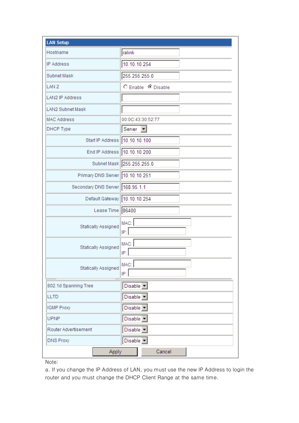| <b>LAN Setup</b>                |                               |
|---------------------------------|-------------------------------|
| Hostname                        | ralink                        |
| <b>IP Address</b>               | 10.10.10.254                  |
| Subnet Mask                     | 255.255.255.0                 |
| LAN <sub>2</sub>                | C Enable C Disable            |
| LAN2 IP Address                 |                               |
| <b>LAN2 Subnet Mask</b>         |                               |
| <b>MAC Address</b>              | 00:0C:43:30:52:77             |
| DHCP Type                       | Server                        |
| Start IP Address                | 10.10.10.100                  |
| End IP Address                  | 10.10.10.200                  |
|                                 | Subnet Mask 255.255.255.0     |
| Primary DNS Server 10.10.10.251 |                               |
| Secondary DNS Server 168.95.1.1 |                               |
| Default Gateway 10.10.10.254    |                               |
| Lease Time                      | 86400                         |
| Statically Assigned             | MAC:<br>IP:                   |
| Statically Assigned             | MAC:<br>IP:                   |
| Statically Assigned             | MAC:<br>IP:                   |
| 802.1d Spanning Tree            | Disable $\blacktriangleright$ |
| <b>LLTD</b>                     | Disable $\boxed{\mathbf{r}}$  |
| <b>IGMP Proxy</b>               | Disable -                     |
| <b>UPNP</b>                     | Disable -                     |
| Router Advertisement            | Disable                       |
| <b>DNS Proxy</b>                | Disable -                     |
| Apply                           | Cancel                        |

Note:

a. If you change the IP Address of LAN, you must use the new IP Address to login the router and you must change the DHCP Client Range at the same time.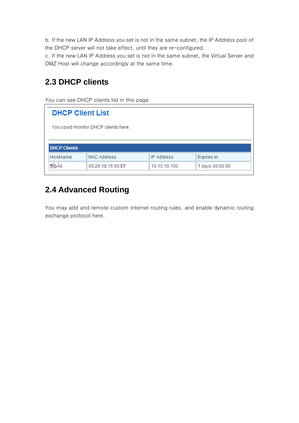b. If the new LAN IP Address you set is not in the same subnet, the IP Address pool of the DHCP server will not take effect, until they are re-configured.

c. If the new LAN IP Address you set is not in the same subnet, the Virtual Server and DMZ Host will change accordingly at the same time.

#### **2.3 DHCP clients**

You can see DHCP clients list in this page.

| <b>DHCP Client List</b> |                                      |                   |                 |
|-------------------------|--------------------------------------|-------------------|-----------------|
|                         | You could monitor DHCP clients here. |                   |                 |
|                         |                                      |                   |                 |
| <b>DHCP Clients</b>     |                                      |                   |                 |
| Hostname                | <b>MAC Address</b>                   | <b>IP Address</b> | Expires in      |
| <b>TIIDÃÔ</b>           | 00:26:18:15:50:EF                    | 10.10.10.100      | 1 days 00:00:00 |

#### **2.4 Advanced Routing**

You may add and remote custom Internet routing rules, and enable dynamic routing exchange protocol here.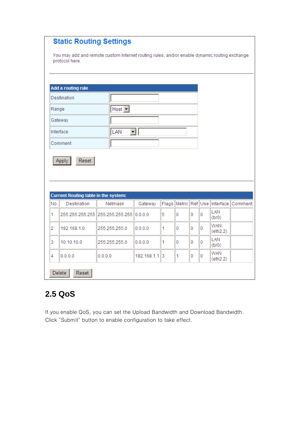| <b>Static Routing Settings</b> |  |
|--------------------------------|--|
|--------------------------------|--|

You may add and remote custom Internet routing rules, and/or enable dynamic routing exchange protocol here.

|       | Add a routing rule<br>Destination    |                                 |         |       |   |   |   |                          |         |
|-------|--------------------------------------|---------------------------------|---------|-------|---|---|---|--------------------------|---------|
|       |                                      |                                 |         |       |   |   |   |                          |         |
| Range |                                      | Host $\vert \mathbf{v} \vert$   |         |       |   |   |   |                          |         |
|       | Gateway                              |                                 |         |       |   |   |   |                          |         |
|       | Interface                            | LAN                             | ▾╎      |       |   |   |   |                          |         |
|       | Comment                              |                                 |         |       |   |   |   |                          |         |
|       | Reset<br><b>Apply</b>                |                                 |         |       |   |   |   |                          |         |
|       | Current Routing table in the system: |                                 |         |       |   |   |   |                          |         |
| No.   | Destination                          | Netmask                         | Gateway | Flags |   |   |   | Metric Ref Use Interface | Comment |
| 1     |                                      | 255.255.255.255 255.255.255.255 | 0.0.0.0 | 5     | 0 | 0 | 0 | LAN<br>(br0)             |         |
| 2     | 192.168.1.0                          | 255.255.255.0                   | 0.0.0.0 | 1     | 0 | 0 | 0 | <b>WAN</b><br>(eth2.2)   |         |
| 3     | 10.10.10.0                           | 255.255.255.0                   | 0.0.0.0 | 1     | 0 | 0 | 0 | LAN<br>(br0)             |         |

## **2.5 QoS**

If you enable QoS, you can set the Upload Bandwidth and Download Bandwidth. Click "Submit" button to enable configuration to take effect.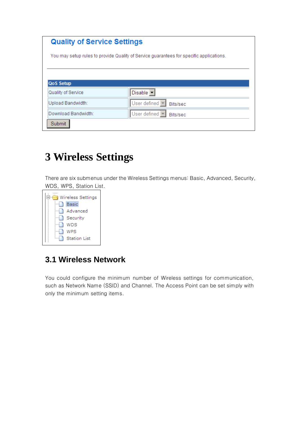| <b>Quality of Service Settings</b> |                                                                                         |
|------------------------------------|-----------------------------------------------------------------------------------------|
|                                    | You may setup rules to provide Quality of Service guarantees for specific applications. |
|                                    |                                                                                         |
| <b>QoS Setup</b>                   |                                                                                         |
| Quality of Service                 | Disable -                                                                               |
| Upload Bandwidth:                  | User defined $\blacktriangledown$<br>Bits/sec                                           |
| Download Bandwidth:                | User defined $\blacktriangledown$<br>Bits/sec                                           |
| Submit                             |                                                                                         |

## **3 Wireless Settings**

There are six submenus under the Wireless Settings menus: Basic, Advanced, Security, WDS, WPS, Station List.



#### **3.1 Wireless Network**

You could configure the minimum number of Wireless settings for communication, such as Network Name (SSID) and Channel. The Access Point can be set simply with only the minimum setting items.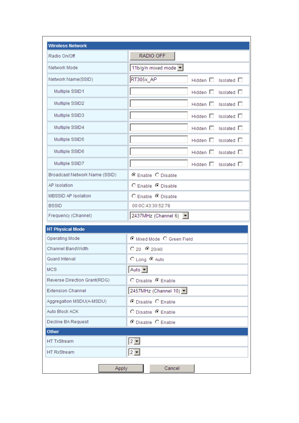| Radio On/Off                  | RADIO OFF                                        |
|-------------------------------|--------------------------------------------------|
|                               |                                                  |
| Network Mode                  | 11b/g/n mixed mode                               |
| Network Name(SSID)            | RT305x AP<br>Hidden $\square$ Isolated $\square$ |
| Multiple SSID1                | Hidden $\square$ Isolated $\square$              |
| Multiple SSID2                | Hidden $\square$ Isolated $\square$              |
| Multiple SSID3                | Hidden $\square$ Isolated $\square$              |
| Multiple SSID4                | Hidden $\square$ Isolated $\square$              |
| Multiple SSID5                | Hidden $\square$ Isolated $\square$              |
| Multiple SSID6                | Hidden $\square$ Isolated $\square$              |
| Multiple SSID7                | Hidden $\square$ Isolated $\square$              |
| Broadcast Network Name (SSID) | C Enable C Disable                               |
| AP Isolation                  | C Enable C Disable                               |
| <b>MBSSID AP Isolation</b>    | C Enable C Disable                               |
| <b>BSSID</b>                  | 00:0C:43:30:52:78                                |
| Frequency (Channel)           | 2437MHz (Channel 6) $\blacktriangledown$         |
| <b>HT Physical Mode</b>       |                                                  |
| Operating Mode                | C Mixed Mode C Green Field                       |
| Channel BandWidth             | $C_{20}$ $C_{20/40}$                             |
| Guard Interval                | ○ Long © Auto                                    |
| <b>MCS</b>                    | Auto $\vert \mathbf{v} \vert$                    |
| Reverse Direction Grant(RDG)  | O Disable C Enable                               |
| <b>Extension Channel</b>      | 2457MHz (Channel 10) •                           |
| Aggregation MSDU(A-MSDU)      | O Disable O Enable                               |
| Auto Block ACK                | O Disable C Enable                               |
| Decline BA Request            | C Disable C Enable                               |
| <b>Other</b>                  |                                                  |
| <b>HT TxStream</b>            | $2 -$                                            |
| <b>HT RxStream</b>            | $2 -$                                            |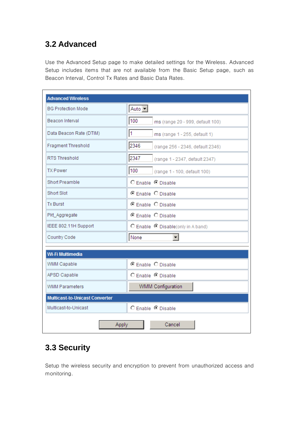### **3.2 Advanced**

Use the Advanced Setup page to make detailed settings for the Wireless. Advanced Setup includes items that are not available from the Basic Setup page, such as Beacon Interval, Control Tx Rates and Basic Data Rates.

| <b>BG Protection Mode</b>             | Auto $\vert \mathbf{v} \vert$                   |
|---------------------------------------|-------------------------------------------------|
| Beacon Interval                       | 100<br>ms (range 20 - 999, default 100)         |
| Data Beacon Rate (DTIM)               | $\overline{1}$<br>ms (range 1 - 255, default 1) |
| Fragment Threshold                    | 2346<br>(range 256 - 2346, default 2346)        |
| RTS Threshold                         | 2347<br>(range 1 - 2347, default 2347)          |
| <b>TX Power</b>                       | 100<br>(range 1 - 100, default 100)             |
| Short Preamble                        | C Enable C Disable                              |
| Short Slot                            | C Enable C Disable                              |
| <b>Tx Burst</b>                       | C Enable C Disable                              |
| Pkt_Aggregate                         | C Enable C Disable                              |
| IEEE 802.11H Support                  | C Enable C Disable(only in A band)              |
| Country Code                          | None<br>▾╎                                      |
| Wi-Fi Multimedia                      |                                                 |
| WMM Capable                           | C Enable C Disable                              |
| APSD Capable                          | C Enable C Disable                              |
| <b>WMM Parameters</b>                 | <b>WMM Configuration</b>                        |
| <b>Multicast-to-Unicast Converter</b> |                                                 |
| Multicast-to-Unicast                  | C Enable C Disable                              |

#### **3.3 Security**

Setup the wireless security and encryption to prevent from unauthorized access and monitoring.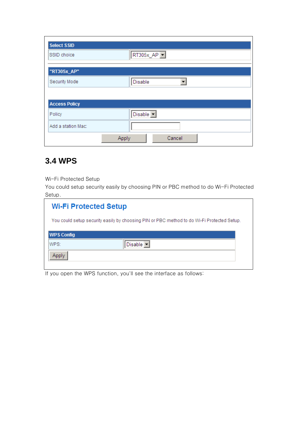| <b>Select SSID</b>   |                 |
|----------------------|-----------------|
| SSID choice          | RT305x_AP F     |
| "RT305x_AP"          |                 |
| Security Mode        | <b>Disable</b>  |
|                      |                 |
| <b>Access Policy</b> |                 |
| Policy               | Disable v       |
| Add a station Mac:   |                 |
|                      | Apply<br>Cancel |

#### **3.4 WPS**

Wi-Fi Protected Setup

You could setup security easily by choosing PIN or PBC method to do Wi-Fi Protected Setup.

| <b>Wi-Fi Protected Setup</b> |                                                                                            |
|------------------------------|--------------------------------------------------------------------------------------------|
|                              | You could setup security easily by choosing PIN or PBC method to do Wi-Fi Protected Setup. |
| <b>WPS Config</b>            |                                                                                            |
| WPS:                         | Disable                                                                                    |
|                              |                                                                                            |

If you open the WPS function, you'll see the interface as follows: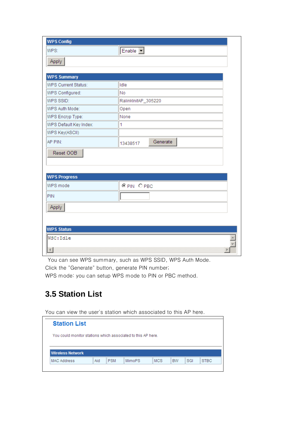| <b>WPS Config</b>      |                                 |
|------------------------|---------------------------------|
| WPS:                   | $Enable$ $\boxed{\blacksquare}$ |
| Apply                  |                                 |
|                        |                                 |
| <b>WPS Summary</b>     |                                 |
| WPS Current Status:    | Idle                            |
| WPS Configured:        | No                              |
| WPS SSID:              | RalinklnitAP_305220             |
| WPS Auth Mode:         | Open                            |
| WPS Encryp Type:       | None                            |
| WPS Default Key Index: | 1                               |
| WPS Key(ASCII)         |                                 |
| AP PIN:                | Generate<br>13438517            |
| Reset OOB              |                                 |
|                        |                                 |
|                        |                                 |
| <b>WPS Progress</b>    |                                 |
| WPS mode               | OPIN OPBC                       |
| <b>PIN</b>             |                                 |
| Apply                  |                                 |
|                        |                                 |
|                        |                                 |
| <b>WPS Status</b>      |                                 |
| WSC: Idle              |                                 |
| 41                     |                                 |

You can see WPS summary, such as WPS SSID, WPS Auth Mode.

Click the "Generate" button, generate PIN number;

WPS mode: you can setup WPS mode to PIN or PBC method.

#### **3.5 Station List**

You can view the user's station which associated to this AP here.

| <b>Station List</b> |  |                                                              |  |  |
|---------------------|--|--------------------------------------------------------------|--|--|
|                     |  | You could monitor stations which associated to this AP here. |  |  |
|                     |  |                                                              |  |  |
|                     |  |                                                              |  |  |
| Wireless Network    |  |                                                              |  |  |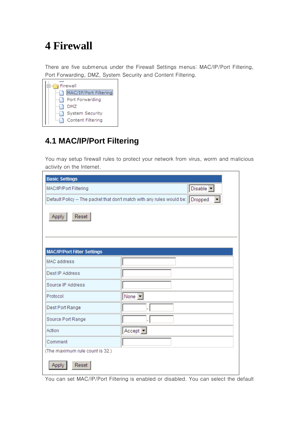## **4 Firewall**

There are five submenus under the Firewall Settings menus: MAC/IP/Port Filtering, Port Forwarding, DMZ, System Security and Content Filtering.



#### **4.1 MAC/IP/Port Filtering**

You may setup firewall rules to protect your network from virus, worm and malicious activity on the Internet.

| <b>Basic Settings</b>              |                                                                                 |
|------------------------------------|---------------------------------------------------------------------------------|
| MAC/IP/Port Filtering              | Disable v                                                                       |
|                                    | Default Policy -- The packet that don't match with any rules would be: Dropped. |
| Apply<br>Reset                     |                                                                                 |
| <b>MAC/IP/Port Filter Settings</b> |                                                                                 |
| MAC address                        |                                                                                 |
| Dest IP Address                    |                                                                                 |
| Source IP Address                  |                                                                                 |
| Protocol                           | None $\boxed{\mathbf{v}}$                                                       |
| Dest Port Range                    |                                                                                 |
| Source Port Range                  |                                                                                 |
| Action                             | $Accept \nightharpoonup$                                                        |
| Comment                            |                                                                                 |
| (The maximum rule count is 32.)    |                                                                                 |
| Reset<br>Apply                     |                                                                                 |

You can set MAC/IP/Port Filtering is enabled or disabled. You can select the default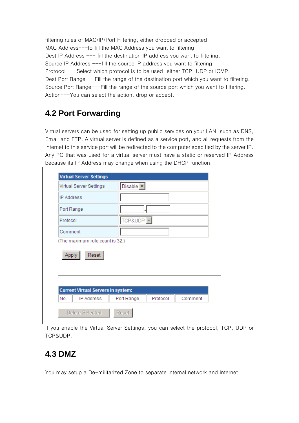filtering rules of MAC/IP/Port Filtering, either dropped or accepted. MAC Address---to fill the MAC Address you want to filtering. Dest IP Address --- fill the destination IP address you want to filtering. Source IP Address ---fill the source IP address you want to filtering. Protocol ---Select which protocol is to be used, either TCP, UDP or ICMP. Dest Port Range---Fill the range of the destination port which you want to filtering. Source Port Range---Fill the range of the source port which you want to filtering. Action---You can select the action, drop or accept.

#### **4.2 Port Forwarding**

Virtual servers can be used for setting up public services on your LAN, such as DNS, Email and FTP. A virtual server is defined as a service port, and all requests from the Internet to this service port will be redirected to the computer specified by the server IP. Any PC that was used for a virtual server must have a static or reserved IP Address because its IP Address may change when using the DHCP function.

| Port Range | Protocol                                                                     | Comment               |
|------------|------------------------------------------------------------------------------|-----------------------|
|            |                                                                              |                       |
|            | (The maximum rule count is 32.)<br><b>Current Virtual Servers in system:</b> | TCP&UDP <sup>I-</sup> |

If you enable the Virtual Server Settings, you can select the protocol, TCP, UDP or TCP&UDP.

#### **4.3 DMZ**

You may setup a De-militarized Zone to separate internal network and Internet.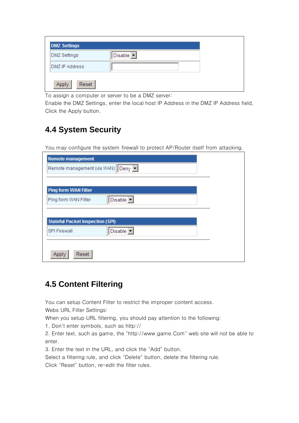| <b>DMZ Settings</b> |           |
|---------------------|-----------|
| DMZ Settings        | Disable - |
| DMZ IP Address      |           |
| Reset<br>Appl       |           |

To assign a computer or server to be a DMZ server:

Enable the DMZ Settings, enter the local host IP Address in the DMZ IP Address field, Click the Apply button.

#### **4.4 System Security**

You may configure the system firewall to protect AP/Router itself from attacking.

| <b>Remote management</b>                |           |  |
|-----------------------------------------|-----------|--|
| Remote management (via WAN) Deny        |           |  |
|                                         |           |  |
| <b>Ping form WAN Filter</b>             |           |  |
|                                         |           |  |
| Ping form WAN Filter                    | Disable - |  |
|                                         |           |  |
| <b>Stateful Packet Inspection (SPI)</b> |           |  |
|                                         |           |  |
| <b>SPI Firewall</b>                     | Disable - |  |
|                                         |           |  |
|                                         |           |  |
| Reset<br><b>Apply</b>                   |           |  |

#### **4.5 Content Filtering**

You can setup Content Filter to restrict the improper content access. Webs URL Filter Settings:

When you setup URL filtering, you should pay attention to the following:

1. Don't enter symbols, such as http://

2. Enter text, such as game, the "http://www.game.Com" web site will not be able to enter.

3. Enter the text in the URL, and click the "Add" button.

Select a filtering rule, and click "Delete" button, delete the filtering rule.

Click "Reset" button, re-edit the filter rules.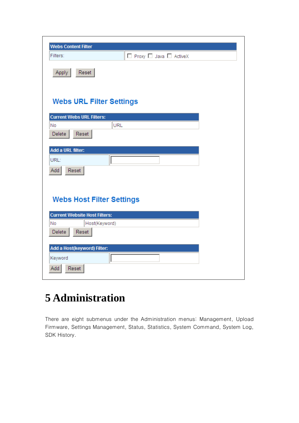| <b>Webs Content Filter</b>           |
|--------------------------------------|
| □ Proxy □ Java □ ActiveX<br>Filters: |
| Reset<br>Apply                       |
| <b>Webs URL Filter Settings</b>      |
| <b>Current Webs URL Filters:</b>     |
| <b>URL</b><br>No<br>Delete<br>Reset  |
| Add a URL filter:                    |
| URL:                                 |
| Add<br>Reset                         |
|                                      |
| <b>Webs Host Filter Settings</b>     |
| <b>Current Website Host Filters:</b> |
| No<br>Host(Keyword)                  |
| Reset<br>Delete                      |
| Add a Host(keyword) Filter:          |
| Keyword                              |
| Add<br>Reset                         |

# **5 Administration**

There are eight submenus under the Administration menus: Management, Upload Firmware, Settings Management, Status, Statistics, System Command, System Log, SDK History.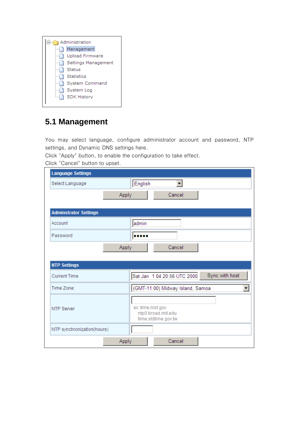

#### **5.1 Management**

You may select language, configure administrator account and password, NTP settings, and Dynamic DNS settings here.

Click "Apply" button, to enable the configuration to take effect.

Click "Cancel" button to upset.

| <b>Language Settings</b>     |                                                                |
|------------------------------|----------------------------------------------------------------|
| Select Language              | English<br>▾                                                   |
|                              | <b>Apply</b><br>Cancel                                         |
|                              |                                                                |
| <b>Adminstrator Settings</b> |                                                                |
| Account                      | admin                                                          |
| Password                     |                                                                |
|                              | Cancel<br>Apply                                                |
|                              |                                                                |
| <b>NTP Settings</b>          |                                                                |
| <b>Current Time</b>          | Sync with host<br>Sat Jan 1 04:20:56 UTC 2000                  |
| Time Zone:                   | (GMT-11:00) Midway Island, Samoa<br>$\overline{\phantom{a}}$   |
| <b>NTP Server</b>            | ex: time.nist.gov<br>ntp0.broad.mit.edu<br>time.stdtime.gov.tw |
| NTP synchronization(hours)   |                                                                |
|                              | Cancel<br>Apply                                                |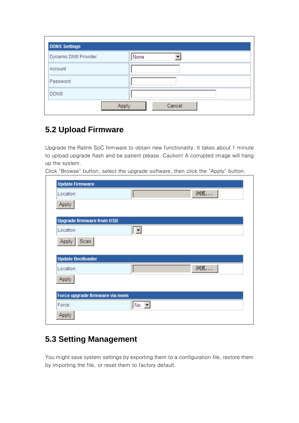| <b>DDNS Settings</b> |        |
|----------------------|--------|
| Dynamic DNS Provider | None   |
| Account              |        |
| Password             |        |
| <b>DDNS</b>          |        |
|                      | Cancel |

#### **5.2 Upload Firmware**

Upgrade the Ralink SoC firmware to obtain new functionality. It takes about 1 minute to upload upgrade flash and be patient please. Caution! A corrupted image will hang up the system.

Click "Browse" button, select the upgrade software, then click the "Apply" button.

| Location:                        |        | 浏览 |
|----------------------------------|--------|----|
| Apply                            |        |    |
| <b>Upgrade firmware from USB</b> |        |    |
| Location:                        |        |    |
| Scan<br>Apply                    |        |    |
|                                  |        |    |
| <b>Update Bootloader</b>         |        |    |
| Location:                        |        | 浏览 |
| <b>Apply</b>                     |        |    |
|                                  |        |    |
| Force upgrade firmware via mem   |        |    |
| Force:                           | $No -$ |    |

#### **5.3 Setting Management**

You might save system settings by exporting them to a configuration file, restore them by importing the file, or reset them to factory default.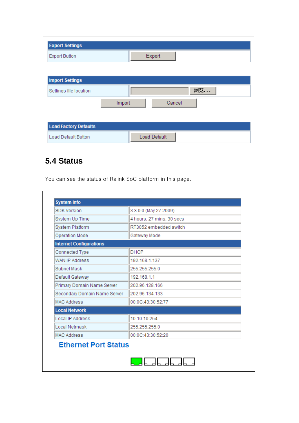| <b>Export Settings</b>       |                     |  |
|------------------------------|---------------------|--|
| <b>Export Button</b>         | Export              |  |
|                              |                     |  |
| <b>Import Settings</b>       |                     |  |
| Settings file location       | 浏览                  |  |
|                              | Cancel<br>Import    |  |
|                              |                     |  |
| <b>Load Factory Defaults</b> |                     |  |
| Load Default Button          | <b>Load Default</b> |  |

#### **5.4 Status**

You can see the status of Ralink SoC platform in this page.

| <b>SDK Version</b>             | 3.3.0.0 (May 27 2009)     |  |  |  |
|--------------------------------|---------------------------|--|--|--|
| System Up Time                 | 4 hours, 27 mins, 30 secs |  |  |  |
| System Platform                | RT3052 embedded switch    |  |  |  |
| Operation Mode                 | Gateway Mode              |  |  |  |
| <b>Internet Configurations</b> |                           |  |  |  |
| Connected Type                 | <b>DHCP</b>               |  |  |  |
| WAN IP Address                 | 192.168.1.137             |  |  |  |
| Subnet Mask                    | 255.255.255.0             |  |  |  |
| Default Gateway                | 192.168.1.1               |  |  |  |
| Primary Domain Name Server     | 202.96.128.166            |  |  |  |
| Secondary Domain Name Server   | 202.96.134.133            |  |  |  |
| <b>MAC Address</b>             | 00:0C:43:30:52:77         |  |  |  |
| <b>Local Network</b>           |                           |  |  |  |
| <b>Local IP Address</b>        | 10.10.10.254              |  |  |  |
| Local Netmask                  | 255.255.255.0             |  |  |  |
| <b>MAC Address</b>             | 00:0C:43:30:52:20         |  |  |  |
| <b>Ethernet Port Status</b>    |                           |  |  |  |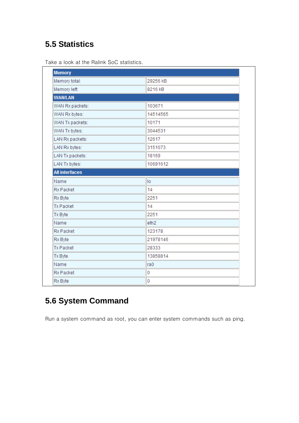#### **5.5 Statistics**

|  |  | Take a look at the Ralink SoC statistics. |
|--|--|-------------------------------------------|
|  |  |                                           |

| <b>Memory</b>         |                  |
|-----------------------|------------------|
| Memory total:         | 29256 kB         |
| Memory left:          | 8216 kB          |
| <b>WAN/LAN</b>        |                  |
| WAN Rx packets:       | 103671           |
| WAN Rx bytes:         | 14514565         |
| WAN Tx packets:       | 10171            |
| WAN Tx bytes:         | 3044531          |
| LAN Rx packets:       | 12617            |
| LAN Rx bytes:         | 3151073          |
| LAN Tx packets:       | 18169            |
| LAN Tx bytes:         | 10691612         |
| <b>All interfaces</b> |                  |
| Name                  | lo.              |
| <b>Rx Packet</b>      | 14               |
| Rx Byte               | 2251             |
| <b>Tx Packet</b>      | 14               |
| Tx Byte               | 2251             |
| Name                  | eth <sub>2</sub> |
| <b>Rx Packet</b>      | 123178           |
| Rx Byte               | 21978146         |
| <b>Tx Packet</b>      | 28333            |
| Tx Byte               | 13858814         |
| Name                  | ra0              |
| <b>Rx Packet</b>      | 0                |
| Rx Byte               | 0                |

## **5.6 System Command**

Run a system command as root, you can enter system commands such as ping.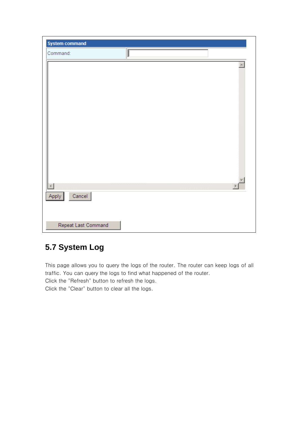| <b>System command</b> |   |  |
|-----------------------|---|--|
| Command:              | μ |  |
|                       |   |  |
|                       |   |  |
|                       |   |  |
|                       |   |  |
|                       |   |  |
|                       |   |  |
|                       |   |  |
|                       |   |  |
|                       |   |  |
|                       |   |  |
|                       |   |  |
|                       |   |  |
|                       |   |  |
|                       |   |  |
| Cancel<br>Apply       |   |  |
|                       |   |  |
|                       |   |  |
| Repeat Last Command   |   |  |

#### **5.7 System Log**

This page allows you to query the logs of the router. The router can keep logs of all traffic. You can query the logs to find what happened of the router.

Click the "Refresh" button to refresh the logs.

Click the "Clear" button to clear all the logs.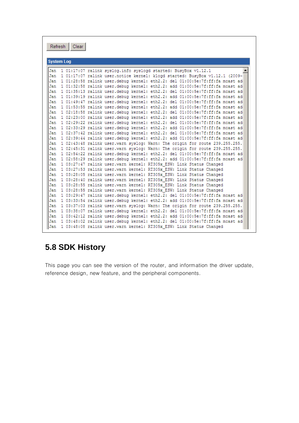| Refresh   Clear                                                                     |
|-------------------------------------------------------------------------------------|
| <b>System Log</b>                                                                   |
| Jan<br>1 01:17:07 ralink syslog.info syslogd started: BusyBox v1.12.1               |
| 1 01:17:07 ralink user.notice kernel: klogd started: BusyBox v1.12.1 (2009-<br>Jan. |
| Jan<br>1 01:28:58 ralink user.debug kernel: eth2.2: del 01:00:5e:7f:ff:fa mcast ad  |
| Jan<br>1 01:32:58 ralink user.debug kernel: eth2.2: add 01:00:5e:7f:ff:fa mcast ad  |
| Jan<br>1 01:35:13 ralink user.debug kernel: eth2.2: del 01:00:5e:7f:ff:fa mcast ad  |
| Jan<br>1 01:39:19 ralink user.debug kernel: eth2.2: add 01:00:5e:7f:ff:fa mcast ad  |
| Jan<br>1 01:49:47 ralink user.debug kernel: eth2.2: del 01:00:5e:7f:ff:fa mcast ad  |
| Jan<br>1 01:53:55 ralink user.debug kernel: eth2.2: add 01:00:5e:7f:ff:fa mcast ad  |
| Jan<br>1 02:18:58 ralink user.debug kernel: eth2.2: del 01:00:5e:7f:ff:fa mcast ad  |
| Jan<br>1 02:23:00 ralink user.debug kernel: eth2.2: add 01:00:5e:7f:ff:fa mcast ad  |
| Jan<br>1 02:29:22 ralink user.debug kernel: eth2.2: del 01:00:5e:7f:ff:fa mcast ad  |
| Jan<br>1 02:33:29 ralink user.debug kernel: eth2.2: add 01:00:5e:7f:ff:fa mcast ad  |
| Jan<br>1 02:37:42 ralink user.debug kernel: eth2.2: del 01:00:5e:7f:ff:fa mcast ad  |
| Jan<br>1 02:39:44 ralink user.debug kernel: eth2.2: add 01:00:5e:7f:ff:fa mcast ad  |
| Jan<br>1 02:43:48 ralink user.warn syslog: Warn: The origin for route 239.255.255.  |
| Jan<br>1 02:45:31 ralink user.warn svslog: Warn: The origin for route 239.255.255.  |
| Jan<br>1 02:54:22 ralink user.debug kernel: eth2.2: del 01:00:5e:7f:ff:fa mcast ad  |
| Jan<br>1 02:58:29 ralink user.debug kernel: eth2.2: add 01:00:5e:7f:ff:fa mcast ad  |
| Jan<br>1 03:27:47 ralink user.warn kernel: RT305x ESW: Link Status Changed          |
| Jan<br>1 03:27:53 ralink user.warn kernel: RT305x ESW: Link Status Changed          |
| Jan<br>1 03:28:05 ralink user.warn kernel: RT305x ESW: Link Status Changed          |
| Jan<br>1 03:28:40 ralink user.warn kernel: RT305x ESW: Link Status Changed          |
| Jan<br>1 03:28:55 ralink user.warn kernel: RT305x ESW: Link Status Changed          |
| Jan<br>1 03:28:55 ralink user.warn kernel: RT305x ESW: Link Status Changed          |
| Jan<br>1 03:29:47 ralink user.debug kernel: eth2.2: del 01:00:5e:7f:ff:fa mcast ad  |
| Jan<br>1 03:33:54 ralink user.debug kernel: eth2.2: add 01:00:5e:7f:ff:fa mcast ad  |
| Jan<br>1 03:37:03 ralink user.warn svslog: Warn: The origin for route 239.255.255.  |
| Jan<br>1 03:38:07 ralink user.debug kernel: eth2.2: del 01:00:5e:7f:ff:fa mcast ad  |
| Jan<br>1 03:42:12 ralink user.debug kernel: eth2.2: add 01:00:5e:7f:ff:fa mcast ad  |
| 1 03:48:02 ralink user.debug kernel: eth2.2: del 01:00:5e:7f:ff:fa mcast ad<br>Jan  |
| 1 03:48:08 ralink user.warn kernel: RT305x ESW: Link Status Changed<br>Jan          |

## **5.8 SDK History**

This page you can see the version of the router, and information the driver update, reference design, new feature, and the peripheral components.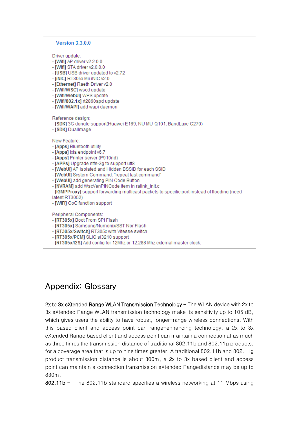#### Version 3.3.0.0

Driver update:

- [Wifi] AP driver v2.2.0.0
- [Wifi] STA driver v2.0.0.0
- [USB] USB driver updated to v2.72
- [iNIC] RT305x Mii iNIC v2.0
- [Ethernet] Raeth Driver v2.0
- [Wifi/WSC] wscd update
- [Wifi/WebUI] WPS update
- [Wifi/802.1x] rt2860apd update
- [Wifi/WAPI] add wapi daemon

Reference design:

- [SDK] 3G dongle support(Huawei E169, NU MU-Q101, BandLuxe C270)
- [SDK] Duallmage

New Feature:

- [Apps] Bluetooth utility
- [Apps] Ixia endpoint v6.7
- [Apps] Printer server (P910nd)
- [APPs] Upgrade ntfs-3g to support utf8
- [WebUI] AP Isolated and Hidden BSSID for each SSID
- [WebUI] System Command: "repeat last command"
- [WebUI] add generating PIN Code Button
- [NVRAM] add WscVenPINCode item in ralink\_init.c
- [IGMPProxy] support forwarding multicast packets to specific port instead of flooding (need latest RT3052)
- [WiFi] CoC function support

Peripheral Components:

 $\overline{a}$ 

- [RT305x] Boot From SPI Flash
- [RT305x] Samsung/Numonix/SST Nor Flash
- [RT305x/Switch] RT305x with Vitesse switch
- [RT305x/PCM] SLIC si3210 support
- [RT305x/I2S] Add config for 12Mhz or 12.288 Mhz external master clock.

#### Appendix: Glossary

2x to 3x eXtended Range WLAN Transmission Technology  $-$  The WLAN device with 2x to 3x eXtended Range WLAN transmission technology make its sensitivity up to 105 dB, which gives users the ability to have robust, longer-range wireless connections. With this based client and access point can range-enhancing technology, a 2x to 3x eXtended Range based client and access point can maintain a connection at as much as three times the transmission distance of traditional 802.11b and 802.11g products, for a coverage area that is up to nine times greater. A traditional 802.11b and 802.11g product transmission distance is about 300m, a 2x to 3x based client and access point can maintain a connection transmission eXtended Rangedistance may be up to 830m.

802.11b  $-$  The 802.11b standard specifies a wireless networking at 11 Mbps using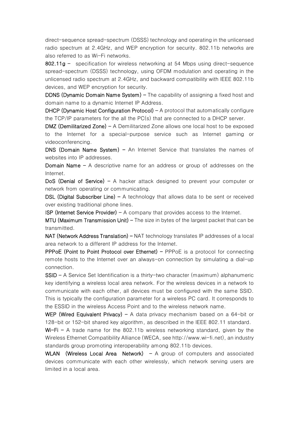direct-sequence spread-spectrum (DSSS) technology and operating in the unlicensed radio spectrum at 2.4GHz, and WEP encryption for security. 802.11b networks are also referred to as Wi-Fi networks.

802.11g  $-$  specification for wireless networking at 54 Mbps using direct-sequence spread-spectrum (DSSS) technology, using OFDM modulation and operating in the unlicensed radio spectrum at 2.4GHz, and backward compatibility with IEEE 802.11b devices, and WEP encryption for security.

**DDNS (Dynamic Domain Name System)**  $-$  The capability of assigning a fixed host and domain name to a dynamic Internet IP Address.

 $D HCP$  (Dynamic Host Configuration Protocol) – A protocol that automatically configure the TCP/IP parameters for the all the PC(s) that are connected to a DHCP server.

**DMZ (Demilitarized Zone) - A Demilitarized Zone allows one local host to be exposed** to the Internet for a special-purpose service such as Internet gaming or videoconferencing.

DNS (Domain Name System) – An Internet Service that translates the names of websites into IP addresses.

**Domain Name -** A descriptive name for an address or group of addresses on the Internet.

DoS (Denial of Service)  $-$  A hacker attack designed to prevent your computer or network from operating or communicating.

DSL (Digital Subscriber Line) – A technology that allows data to be sent or received over existing traditional phone lines.

**ISP (Internet Service Provider)**  $- A$  company that provides access to the Internet.

 $MTU$  (Maximum Transmission Unit) – The size in bytes of the largest packet that can be transmitted.

 $NAT$  (Network Address Translation) – NAT technology translates IP addresses of a local area network to a different IP address for the Internet.

PPPoE (Point to Point Protocol over Ethernet) - PPPoE is a protocol for connecting remote hosts to the Internet over an always-on connection by simulating a dial-up connection.

SSID - A Service Set Identification is a thirty-two character (maximum) alphanumeric key identifying a wireless local area network. For the wireless devices in a network to communicate with each other, all devices must be configured with the same SSID. This is typically the configuration parameter for a wireless PC card. It corresponds to the ESSID in the wireless Access Point and to the wireless network name.

WEP (Wired Equivalent Privacy) – A data privacy mechanism based on a  $64$ -bit or 128-bit or 152-bit shared key algorithm, as described in the IEEE 802.11 standard.

Wi-Fi - A trade name for the 802.11b wireless networking standard, given by the Wireless Ethernet Compatibility Alliance (WECA, see http://www.wi-fi.net), an industry standards group promoting interoperability among 802.11b devices.

WLAN (Wireless Local Area Network)  $-$  A group of computers and associated devices communicate with each other wirelessly, which network serving users are limited in a local area.